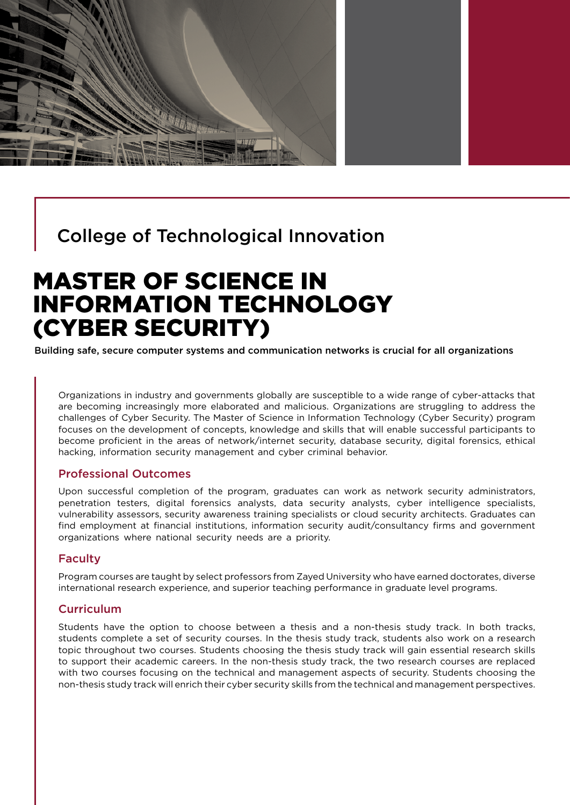

## College of Technological Innovation

# MASTER OF SCIENCE IN INFORMATION TECHNOLOGY (CYBER SECURITY)

Building safe, secure computer systems and communication networks is crucial for all organizations

Organizations in industry and governments globally are susceptible to a wide range of cyber-attacks that are becoming increasingly more elaborated and malicious. Organizations are struggling to address the challenges of Cyber Security. The Master of Science in Information Technology (Cyber Security) program focuses on the development of concepts, knowledge and skills that will enable successful participants to become proficient in the areas of network/internet security, database security, digital forensics, ethical hacking, information security management and cyber criminal behavior.

## Professional Outcomes

Upon successful completion of the program, graduates can work as network security administrators, penetration testers, digital forensics analysts, data security analysts, cyber intelligence specialists, vulnerability assessors, security awareness training specialists or cloud security architects. Graduates can find employment at financial institutions, information security audit/consultancy firms and government organizations where national security needs are a priority.

### Faculty

Program courses are taught by select professors from Zayed University who have earned doctorates, diverse international research experience, and superior teaching performance in graduate level programs.

## **Curriculum**

Students have the option to choose between a thesis and a non-thesis study track. In both tracks, students complete a set of security courses. In the thesis study track, students also work on a research topic throughout two courses. Students choosing the thesis study track will gain essential research skills to support their academic careers. In the non-thesis study track, the two research courses are replaced with two courses focusing on the technical and management aspects of security. Students choosing the non-thesis study track will enrich their cyber security skills from the technical and management perspectives.